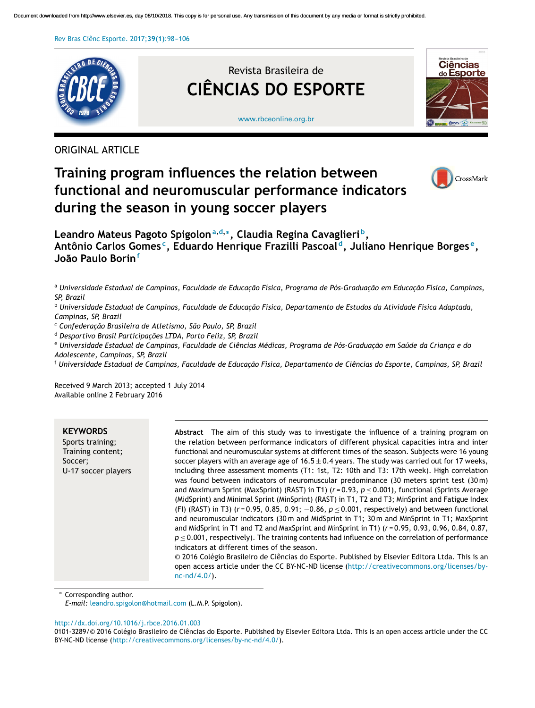**Training program influences the relation between**

**functional and neuromuscular performance indicators**

Rev Bras Ciênc [Esporte.](dx.doi.org/10.1016/j.rbce.2016.01.003) 2017;39(1):98-106



Revista Brasileira de **CIÊNCIAS DO ESPORTE**



[www.rbceonline.org.br](http://www.rbceonline.org.br)

# ORIGINAL ARTICLE



**during the season in young soccer players Leandro Mateus Pagoto Spigolon<sup>a</sup>**,**d**,<sup>∗</sup> **, Claudia Regina Cavaglieri <sup>b</sup> , Antônio Carlos Gomes <sup>c</sup> , Eduardo Henrique Frazilli Pascoal <sup>d</sup> , Juliano Henrique Borges <sup>e</sup> , João Paulo Borin<sup>f</sup>**

a Universidade Estadual de Campinas, Faculdade de Educação Física, Programa de Pós-Graduação em Educação Física, Campinas, *SP, Brazil*

<sup>b</sup> Universidade Estadual de Campinas, Faculdade de Educação Física, Departamento de Estudos da Atividade Física Adaptada, *Campinas, SP, Brazil*

<sup>c</sup> *Confederac¸ão Brasileira de Atletismo, São Paulo, SP, Brazil*

<sup>d</sup> *Desportivo Brasil Participac¸ões LTDA, Porto Feliz, SP, Brazil*

e Universidade Estadual de Campinas, Faculdade de Ciências Médicas, Programa de Pós-Graduação em Saúde da Criança e do *Adolescente, Campinas, SP, Brazil*

<sup>f</sup> Universidade Estadual de Campinas, Faculdade de Educação Física, Departamento de Ciências do Esporte, Campinas, SP, Brazil

Received 9 March 2013; accepted 1 July 2014 Available online 2 February 2016

# **KEYWORDS**

Sports training; Training content; Soccer; U-17 soccer players

**Abstract** The aim of this study was to investigate the influence of a training program on the relation between performance indicators of different physical capacities intra and inter functional and neuromuscular systems at different times of the season. Subjects were 16 young soccer players with an average age of  $16.5 \pm 0.4$  years. The study was carried out for 17 weeks, including three assessment moments (T1: 1st, T2: 10th and T3: 17th week). High correlation was found between indicators of neuromuscular predominance (30 meters sprint test (30 m) and Maximum Sprint (MaxSprint) (RAST) in T1) (*r* = 0.93, *p* ≤ 0.001), functional (Sprints Average (MidSprint) and Minimal Sprint (MinSprint) (RAST) in T1, T2 and T3; MinSprint and Fatigue Index (FI) (RAST) in T3) (*r* = 0.95, 0.85, 0.91; −0.86, *p* ≤ 0.001, respectively) and between functional and neuromuscular indicators (30 m and MidSprint in T1; 30 m and MinSprint in T1; MaxSprint and MidSprint in T1 and T2 and MaxSprint and MinSprint in T1) (*r* = 0.95, 0.93, 0.96, 0.84, 0.87,  $p \le 0.001$ , respectively). The training contents had influence on the correlation of performance indicators at different times of the season.

 $©$  2016 Colégio Brasileiro de Ciências do Esporte. Published by Elsevier Editora Ltda. This is an open access article under the CC BY-NC-ND license ([http://creativecommons.org/licenses/by](http://creativecommons.org/licenses/by-nc-nd/4.0/)[nc-nd/4.0/\)](http://creativecommons.org/licenses/by-nc-nd/4.0/).

Corresponding author.

*E-mail:* [leandro.spigolon@hotmail.com](mailto:leandro.spigolon@hotmail.com) (L.M.P. Spigolon).

[http://dx.doi.org/10.1016/j.rbce.2016.01.003](dx.doi.org/10.1016/j.rbce.2016.01.003)

0101-3289/© 2016 Colégio Brasileiro de Ciências do Esporte. Published by Elsevier Editora Ltda. This is an open access article under the CC BY-NC-ND license [\(http://creativecommons.org/licenses/by-nc-nd/4.0/\)](http://creativecommons.org/licenses/by-nc-nd/4.0/).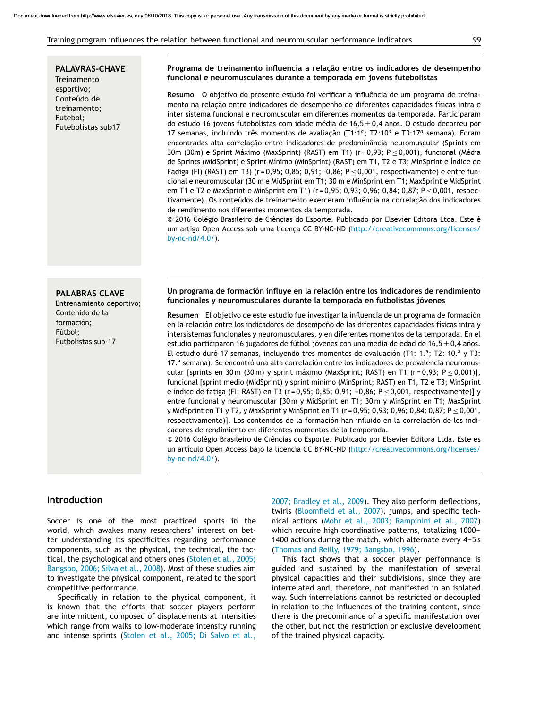#### **PALAVRAS-CHAVE**

**Treinamento** esportivo; Conteúdo de treinamento; Futebol; Futebolistas sub17

# **Programa de treinamento influencia a relac¸ão entre os indicadores de desempenho funcional e neuromusculares durante a temporada em jovens futebolistas**

**Resumo** O objetivo do presente estudo foi verificar a influência de um programa de treinamento na relação entre indicadores de desempenho de diferentes capacidades físicas intra e inter sistema funcional e neuromuscular em diferentes momentos da temporada. Participaram do estudo 16 jovens futebolistas com idade média de 16,5 ± 0,4 anos. O estudo decorreu por 17 semanas, incluindo três momentos de avaliação (T1:1<sup>2</sup>; T2:10<sup>2</sup> e T3:17<sup>2</sup> semana). Foram encontradas alta correlação entre indicadores de predominância neuromuscular (Sprints em 30m (30m) e Sprint Máximo (MaxSprint) (RAST) em T1) (r = 0,93; P ≤ 0,001), funcional (Média de Sprints (MidSprint) e Sprint Mínimo (MinSprint) (RAST) em T1, T2 e T3; MinSprint e Índice de Fadiga (FI) (RAST) em T3) (r = 0,95; 0,85; 0,91; -0,86; P  $\leq$  0,001, respectivamente) e entre funcional e neuromuscular (30 m e MidSprint em T1; 30 m e MinSprint em T1; MaxSprint e MidSprint em T1 e T2 e MaxSprint e MinSprint em T1) (r = 0,95; 0,93; 0,96; 0,84; 0,87; P ≤ 0,001, respectivamente). Os conteúdos de treinamento exerceram influência na correlação dos indicadores de rendimento nos diferentes momentos da temporada.

© 2016 Colégio Brasileiro de Ciências do Esporte. Publicado por Elsevier Editora Ltda. Este é um artigo Open Access sob uma licença CC BY-NC-ND [\(http://creativecommons.org/licenses/](http://creativecommons.org/licenses/by-nc-nd/4.0/) [by-nc-nd/4.0/](http://creativecommons.org/licenses/by-nc-nd/4.0/)).

#### **PALABRAS CLAVE**

Entrenamiento deportivo; Contenido de la formación; Fútbol; Futbolistas sub-17

**Un programa de formación influye en la relación entre los indicadores de rendimiento funcionales y neuromusculares durante la temporada en futbolistas jóvenes**

Resumen El objetivo de este estudio fue investigar la influencia de un programa de formación en la relación entre los indicadores de desempeño de las diferentes capacidades físicas intra y intersistemas funcionales y neuromusculares, y en diferentes momentos de la temporada. En el estudio participaron 16 jugadores de fútbol jóvenes con una media de edad de 16,5  $\pm$  0,4 años. El estudio duró 17 semanas, incluyendo tres momentos de evaluación (T1: 1.ª; T2: 10.ª y T3: 17.ª semana). Se encontró una alta correlación entre los indicadores de prevalencia neuromuscular [sprints en 30 m (30 m) y sprint máximo (MaxSprint; RAST) en T1 (r = 0,93; P < 0,001)], funcional [sprint medio (MidSprint) y sprint mínimo (MinSprint; RAST) en T1, T2 e T3; MinSprint e índice de fatiga (FI; RAST) en T3 (r = 0,95; 0,85; 0,91; -0,86; P  $\leq$  0,001, respectivamente)] y entre funcional y neuromuscular [30 m y MidSprint en T1; 30 m y MinSprint en T1; MaxSprint y MidSprint en T1 y T2, y MaxSprint y MinSprint en T1 (r = 0,95; 0,93; 0,96; 0,84; 0,87; P ≤ 0,001, respectivamente)]. Los contenidos de la formación han influido en la correlación de los indicadores de rendimiento en diferentes momentos de la temporada.

© 2016 Colégio Brasileiro de Ciências do Esporte. Publicado por Elsevier Editora Ltda. Este es un artículo Open Access bajo la licencia CC BY-NC-ND [\(http://creativecommons.org/licenses/](http://creativecommons.org/licenses/by-nc-nd/4.0/) [by-nc-nd/4.0/](http://creativecommons.org/licenses/by-nc-nd/4.0/)).

# **Introduction**

Soccer is one of the most practiced sports in the world, which awakes many researchers' interest on better understanding its specificities regarding performance components, such as the physical, the technical, the tactical, the psychological and others ones [\(Stolen](#page-8-0) et [al.,](#page-8-0) [2005;](#page-8-0) [Bangsbo,](#page-8-0) [2006;](#page-8-0) [Silva](#page-8-0) et [al.,](#page-8-0) [2008\).](#page-8-0) Most of these studies aim to investigate the physical component, related to the sport competitive performance.

Specifically in relation to the physical component, it is known that the efforts that soccer players perform are intermittent, composed of displacements at intensities which range from walks to low-moderate intensity running and intense sprints ([Stolen](#page-8-0) et [al.,](#page-8-0) [2005;](#page-8-0) [Di](#page-8-0) [Salvo](#page-8-0) et [al.,](#page-8-0)

[2007;](#page-8-0) [Bradley](#page-8-0) et [al.,](#page-8-0) [2009\).](#page-8-0) They also perform deflections, twirls [\(Bloomfield](#page-8-0) et [al.,](#page-8-0) [2007\),](#page-8-0) jumps, and specific technical actions [\(Mohr](#page-8-0) et [al.,](#page-8-0) [2003;](#page-8-0) [Rampinini](#page-8-0) et [al.,](#page-8-0) [2007\)](#page-8-0) which require high coordinative patterns, totalizing 1000-1400 actions during the match, which alternate every 4-5s ([Thomas](#page-8-0) [and](#page-8-0) [Reilly,](#page-8-0) [1979;](#page-8-0) [Bangsbo,](#page-8-0) [1996\).](#page-8-0)

This fact shows that a soccer player performance is guided and sustained by the manifestation of several physical capacities and their subdivisions, since they are interrelated and, therefore, not manifested in an isolated way. Such interrelations cannot be restricted or decoupled in relation to the influences of the training content, since there is the predominance of a specific manifestation over the other, but not the restriction or exclusive development of the trained physical capacity.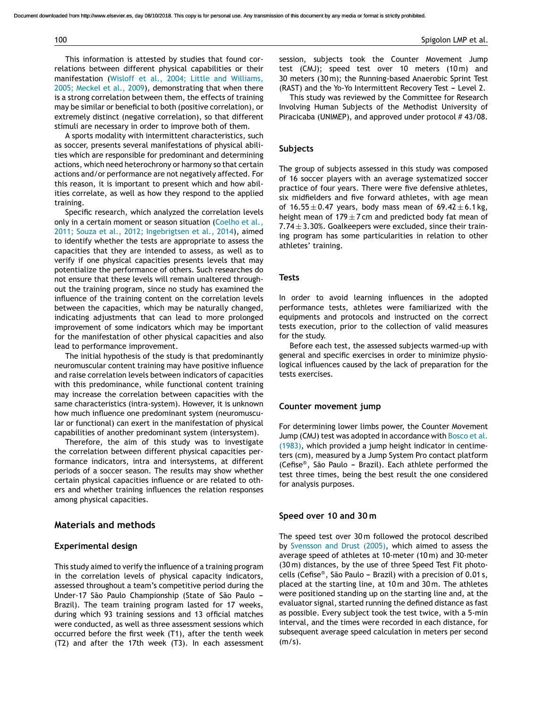This information is attested by studies that found correlations between different physical capabilities or their manifestation ([Wisloff](#page-8-0) et [al.,](#page-8-0) [2004;](#page-8-0) [Little](#page-8-0) [and](#page-8-0) [Williams,](#page-8-0) [2005;](#page-8-0) [Meckel](#page-8-0) et [al.,](#page-8-0) [2009\),](#page-8-0) demonstrating that when there is a strong correlation between them, the effects of training may be similar or beneficial to both (positive correlation), or extremely distinct (negative correlation), so that different stimuli are necessary in order to improve both of them.

A sports modality with intermittent characteristics, such as soccer, presents several manifestations of physical abilities which are responsible for predominant and determining actions, which need heterochrony or harmony so that certain actions and/or performance are not negatively affected. For this reason, it is important to present which and how abilities correlate, as well as how they respond to the applied training.

Specific research, which analyzed the correlation levels only in a certain moment or season situation [\(Coelho](#page-8-0) et [al.,](#page-8-0) [2011;](#page-8-0) [Souza](#page-8-0) et [al.,](#page-8-0) [2012;](#page-8-0) [Ingebrigtsen](#page-8-0) et [al.,](#page-8-0) [2014\),](#page-8-0) aimed to identify whether the tests are appropriate to assess the capacities that they are intended to assess, as well as to verify if one physical capacities presents levels that may potentialize the performance of others. Such researches do not ensure that these levels will remain unaltered throughout the training program, since no study has examined the influence of the training content on the correlation levels between the capacities, which may be naturally changed, indicating adjustments that can lead to more prolonged improvement of some indicators which may be important for the manifestation of other physical capacities and also lead to performance improvement.

The initial hypothesis of the study is that predominantly neuromuscular content training may have positive influence and raise correlation levels between indicators of capacities with this predominance, while functional content training may increase the correlation between capacities with the same characteristics (intra-system). However, it is unknown how much influence one predominant system (neuromuscular or functional) can exert in the manifestation of physical capabilities of another predominant system (intersystem).

Therefore, the aim of this study was to investigate the correlation between different physical capacities performance indicators, intra and intersystems, at different periods of a soccer season. The results may show whether certain physical capacities influence or are related to others and whether training influences the relation responses among physical capacities.

# **Materials and methods**

### **Experimental design**

This study aimed to verify the influence of a training program in the correlation levels of physical capacity indicators, assessed throughout a team's competitive period during the Under-17 São Paulo Championship (State of São Paulo -Brazil). The team training program lasted for 17 weeks, during which 93 training sessions and 13 official matches were conducted, as well as three assessment sessions which occurred before the first week (T1), after the tenth week (T2) and after the 17th week (T3). In each assessment session, subjects took the Counter Movement Jump test (CMJ); speed test over 10 meters (10 m) and 30 meters (30 m); the Running-based Anaerobic Sprint Test (RAST) and the Yo-Yo Intermittent Recovery Test - Level 2.

This study was reviewed by the Committee for Research Involving Human Subjects of the Methodist University of Piracicaba (UNIMEP), and approved under protocol #43/08.

# **Subjects**

The group of subjects assessed in this study was composed of 16 soccer players with an average systematized soccer practice of four years. There were five defensive athletes, six midfielders and five forward athletes, with age mean of  $16.55 \pm 0.47$  years, body mass mean of  $69.42 \pm 6.1$  kg, height mean of  $179 \pm 7$  cm and predicted body fat mean of 7.74  $\pm$  3.30%. Goalkeepers were excluded, since their training program has some particularities in relation to other athletes' training.

#### **Tests**

In order to avoid learning influences in the adopted performance tests, athletes were familiarized with the equipments and protocols and instructed on the correct tests execution, prior to the collection of valid measures for the study.

Before each test, the assessed subjects warmed-up with general and specific exercises in order to minimize physiological influences caused by the lack of preparation for the tests exercises.

#### **Counter movement jump**

For determining lower limbs power, the Counter Movement Jump (CMJ) test was adopted in accordance with **[Bosco](#page-8-0) et [al.](#page-8-0)** [\(1983\),](#page-8-0) which provided a jump height indicator in centimeters (cm), measured by a Jump System Pro contact platform (Cefise®, São Paulo - Brazil). Each athlete performed the test three times, being the best result the one considered for analysis purposes.

#### **Speed over 10 and 30 m**

The speed test over 30 m followed the protocol described by [Svensson](#page-8-0) [and](#page-8-0) [Drust](#page-8-0) [\(2005\),](#page-8-0) which aimed to assess the average speed of athletes at 10-meter (10 m) and 30-meter (30 m) distances, by the use of three Speed Test Fit photocells (Cefise®, São Paulo - Brazil) with a precision of 0.01 s, placed at the starting line, at 10 m and 30 m. The athletes were positioned standing up on the starting line and, at the evaluator signal, started running the defined distance as fast as possible. Every subject took the test twice, with a 5-min interval, and the times were recorded in each distance, for subsequent average speed calculation in meters per second (m/s).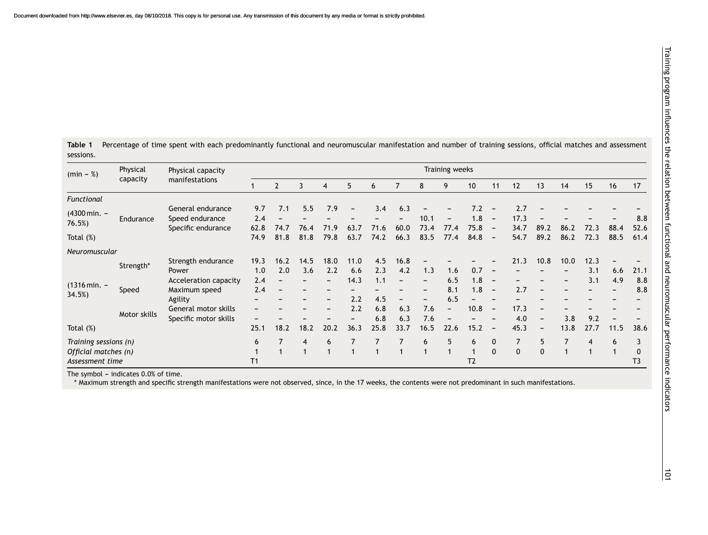<span id="page-3-0"></span>**Table 1** Percentage of time spent with each predominantly functional and neuromuscular manifestation and number of training sessions, official matches and assessment sessions.

| $(min - %)$               | Physical     | Physical capacity     | Training weeks           |                          |      |                         |      |      |                          |                          |                          |                |                          |              |                              |      |                      |                          |                |
|---------------------------|--------------|-----------------------|--------------------------|--------------------------|------|-------------------------|------|------|--------------------------|--------------------------|--------------------------|----------------|--------------------------|--------------|------------------------------|------|----------------------|--------------------------|----------------|
|                           | capacity     | manifestations        |                          | 2                        | 3    | 4                       | 5    | 6    | 7                        | 8                        | 9                        | 10             | 11                       | 12           | 13                           | 14   | 15                   | 16                       | 17             |
| Functional                |              |                       |                          |                          |      |                         |      |      |                          |                          |                          |                |                          |              |                              |      |                      |                          |                |
|                           |              | General endurance     | 9.7                      | 7.1                      | 5.5  | 7.9                     |      | 3.4  | 6.3                      |                          |                          | 7.2            | $\overline{\phantom{a}}$ | 2.7          |                              |      |                      |                          |                |
| $(4300 \,\mathrm{min.} -$ | Endurance    | Speed endurance       | 2.4                      | -                        |      |                         |      |      |                          | 10.1                     | $\overline{\phantom{0}}$ | 1.8            | $\overline{\phantom{a}}$ | 17.3         |                              |      |                      |                          | 8.8            |
| 76.5%                     |              | Specific endurance    | 62.8                     | 74.7                     | 76.4 | 71.9                    | 63.7 | 71.6 | 60.0                     | 73.4                     | 77.4                     | 75.8           | $\overline{\phantom{a}}$ | 34.7         | 89.2                         | 86.2 | 72.3                 | 88.4                     | 52.6           |
| Total $(\%)$              |              |                       | 74.9                     | 81.8                     | 81.8 | 79.8                    | 63.7 | 74.2 | 66.3                     | 83.5                     | 77.4                     | 84.8           | $\overline{\phantom{a}}$ | 54.7         | 89.2                         | 86.2 | 72.3                 | 88.5                     | 61.4           |
| Neuromuscular             |              |                       |                          |                          |      |                         |      |      |                          |                          |                          |                |                          |              |                              |      |                      |                          |                |
|                           |              | Strength endurance    | 19.3                     | 16.2                     | 14.5 | 18.0                    | 11.0 | 4.5  | 16.8                     |                          |                          |                |                          | 21.3         | 10.8                         | 10.0 | 12.3                 |                          |                |
|                           | Strength*    | Power                 | 1.0                      | 2.0                      | 3.6  | 2.2                     | 6.6  | 2.3  | 4.2                      | 1.3                      | 1.6                      | 0.7            | $\overline{\phantom{a}}$ |              |                              | -    | 3.1                  | 6.6                      | 21.1           |
|                           |              | Acceleration capacity | 2.4                      | $\overline{\phantom{a}}$ |      |                         | 14.3 | 1.1  | $\overline{\phantom{0}}$ | $\overline{\phantom{0}}$ | 6.5                      | 1.8            |                          |              |                              | -    | 3.1                  | 4.9                      | 8.8            |
| $(1316 \,\text{min.} -$   | Speed        | Maximum speed         | 2.4                      | $\overline{\phantom{a}}$ |      |                         |      |      |                          | -                        | 8.1                      | 1.8            |                          | 2.7          |                              |      |                      |                          | 8.8            |
| 34.5%                     |              | Agility               | $\overline{\phantom{a}}$ |                          |      |                         | 2.2  | 4.5  |                          | -                        | 6.5                      |                |                          |              |                              |      |                      |                          |                |
|                           |              | General motor skills  | $\overline{\phantom{a}}$ |                          |      |                         | 2.2  | 6.8  | 6.3                      | 7.6                      | $\overline{\phantom{a}}$ | 10.8           | $\overline{\phantom{a}}$ | 17.3         |                              |      |                      |                          |                |
|                           | Motor skills | Specific motor skills | -                        |                          |      |                         |      | 6.8  | 6.3                      | 7.6                      | $\qquad \qquad$          |                |                          | 4.0          | $\qquad \qquad \blacksquare$ | 3.8  | 9.2                  | $\overline{\phantom{a}}$ |                |
| Total $(\%)$              |              |                       | 25.1                     | 18.2                     | 18.2 | 20.2                    | 36.3 | 25.8 | 33.7                     | 16.5                     | 22.6                     | 15.2           | $\overline{\phantom{a}}$ | 45.3         |                              | 13.8 | 27.7                 | 11.5                     | 38.6           |
| Training sessions (n)     |              |                       | 6                        |                          | 4    | 6                       |      |      |                          | 6                        | 5                        | 6              | $\mathbf{0}$             |              | 5                            |      | 4                    | 6                        | 3              |
| Official matches (n)      |              |                       | 1                        | $\mathbf{1}$             |      | $\overline{\mathbf{1}}$ |      |      |                          | $\mathbf{1}$             | $\mathbf{1}$             | $\mathbf{1}$   | $\mathbf{0}$             | $\mathbf{0}$ | $\mathbf{0}$                 |      | $\blacktriangleleft$ | $\mathbf 1$              | 0              |
| Assessment time           |              |                       | T1                       |                          |      |                         |      |      |                          |                          |                          | T <sub>2</sub> |                          |              |                              |      |                      |                          | T <sub>3</sub> |

The symbol  $-$  indicates 0.0% of time.

\* Maximum strength and specific strength manifestations were not observed, since, in the 17 weeks, the contents were not predominant in such manifestations.

 $\overline{q}$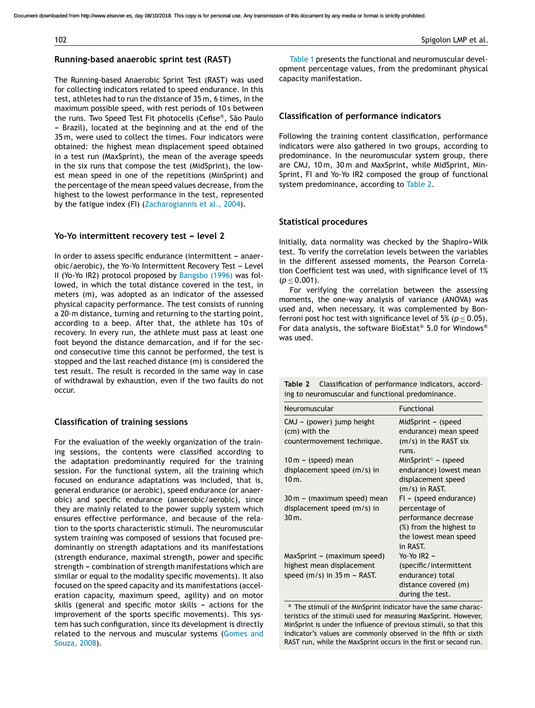# <span id="page-4-0"></span>**Running-based anaerobic sprint test (RAST)**

The Running-based Anaerobic Sprint Test (RAST) was used for collecting indicators related to speed endurance. In this test, athletes had to run the distance of 35 m, 6 times, in the maximum possible speed, with rest periods of 10 s between the runs. Two Speed Test Fit photocells (Cefise® , São Paulo - Brazil), located at the beginning and at the end of the 35 m, were used to collect the times. Four indicators were obtained: the highest mean displacement speed obtained in a test run (MaxSprint), the mean of the average speeds in the six runs that compose the test (MidSprint), the lowest mean speed in one of the repetitions (MinSprint) and the percentage of the mean speed values decrease, from the highest to the lowest performance in the test, represented by the fatigue index (FI) [\(Zacharogiannis](#page-8-0) et [al.,](#page-8-0) [2004\).](#page-8-0)

# Yo-Yo intermittent recovery test - level 2

In order to assess specific endurance (intermittent - anaerobic/aerobic), the Yo-Yo Intermittent Recovery Test - Level II (Yo-Yo IR2) protocol proposed by [Bangsbo](#page-8-0) [\(1996\)](#page-8-0) was followed, in which the total distance covered in the test, in meters (m), was adopted as an indicator of the assessed physical capacity performance. The test consists of running a 20-m distance, turning and returning to the starting point, according to a beep. After that, the athlete has 10s of recovery. In every run, the athlete must pass at least one foot beyond the distance demarcation, and if for the second consecutive time this cannot be performed, the test is stopped and the last reached distance (m) is considered the test result. The result is recorded in the same way in case of withdrawal by exhaustion, even if the two faults do not occur.

### **Classification of training sessions**

For the evaluation of the weekly organization of the training sessions, the contents were classified according to the adaptation predominantly required for the training session. For the functional system, all the training which focused on endurance adaptations was included, that is, general endurance (or aerobic), speed endurance (or anaerobic) and specific endurance (anaerobic/aerobic), since they are mainly related to the power supply system which ensures effective performance, and because of the relation to the sports characteristic stimuli. The neuromuscular system training was composed of sessions that focused predominantly on strength adaptations and its manifestations (strength endurance, maximal strength, power and specific strength - combination of strength manifestations which are similar or equal to the modality specific movements). It also focused on the speed capacity and its manifestations (acceleration capacity, maximum speed, agility) and on motor skills (general and specific motor skills  $-$  actions for the improvement of the sports specific movements). This system has such configuration, since its development is directly related to the nervous and muscular systems ([Gomes](#page-8-0) [and](#page-8-0) [Souza,](#page-8-0) [2008\).](#page-8-0)

[Table](#page-3-0) 1 presents the functional and neuromuscular development percentage values, from the predominant physical capacity manifestation.

## **Classification of performance indicators**

Following the training content classification, performance indicators were also gathered in two groups, according to predominance. In the neuromuscular system group, there are CMJ, 10 m, 30 m and MaxSprint, while MidSprint, Min-Sprint, FI and Yo-Yo IR2 composed the group of functional system predominance, according to Table 2.

# **Statistical procedures**

Initially, data normality was checked by the Shapiro-Wilk test. To verify the correlation levels between the variables in the different assessed moments, the Pearson Correlation Coefficient test was used, with significance level of 1%  $(p < 0.001)$ .

For verifying the correlation between the assessing moments, the one-way analysis of variance (ANOVA) was used and, when necessary, it was complemented by Bonferroni post hoc test with significance level of  $5\%$  ( $p < 0.05$ ). For data analysis, the software BioEstat® 5.0 for Windows® was used.

|  |  |  | Table 2 Classification of performance indicators, accord- |  |
|--|--|--|-----------------------------------------------------------|--|
|  |  |  | ing to neuromuscular and functional predominance.         |  |

| Neuromuscular                    | Functional                      |
|----------------------------------|---------------------------------|
| CMJ – (power) jump height        | MidSprint - (speed              |
| (cm) with the                    | endurance) mean speed           |
| countermovement technique.       | $(m/s)$ in the RAST six         |
|                                  | runs.                           |
| $10 m - (speed) mean$            | MinSprint <sup>a</sup> – (speed |
| displacement speed (m/s) in      | endurance) lowest mean          |
| $10m$ .                          | displacement speed              |
|                                  | $(m/s)$ in RAST.                |
| 30 m - (maximum speed) mean      | $FI - (speed$ endurance)        |
| displacement speed (m/s) in      | percentage of                   |
| $30m$ .                          | performance decrease            |
|                                  | (%) from the highest to         |
|                                  | the lowest mean speed           |
|                                  | in RAST.                        |
| MaxSprint - (maximum speed)      | Yo-Yo $IR2 -$                   |
| highest mean displacement        | (specific/intermittent          |
| speed $(m/s)$ in $35 m - RAST$ . | endurance) total                |
|                                  | distance covered (m)            |
|                                  | during the test.                |

a The stimuli of the MinSprint indicator have the same characteristics of the stimuli used for measuring MaxSprint. However, MinSprint is under the influence of previous stimuli, so that this indicator's values are commonly observed in the fifth or sixth RAST run, while the MaxSprint occurs in the first or second run.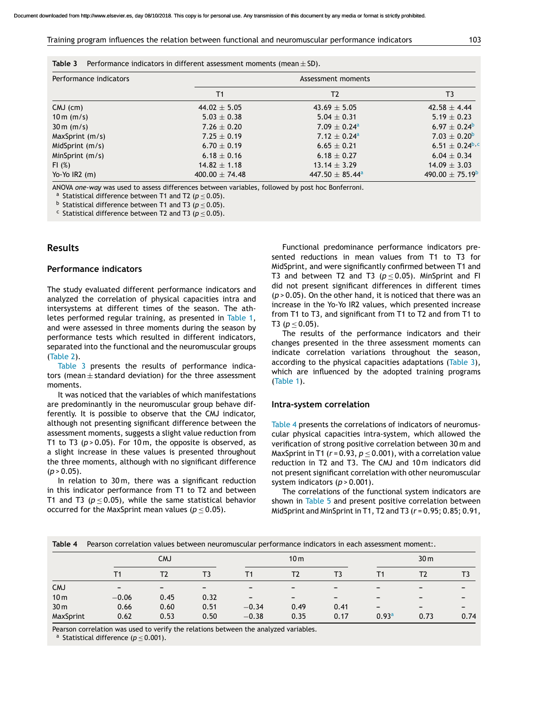<span id="page-5-0"></span>Training program influences the relation between functional and neuromuscular performance indicators 103

|  | <b>Table 3</b> Performance indicators in different assessment moments (mean $\pm$ SD). |  |  |  |  |  |  |
|--|----------------------------------------------------------------------------------------|--|--|--|--|--|--|
|--|----------------------------------------------------------------------------------------|--|--|--|--|--|--|

| Performance indicators           |                    | Assessment moments              |                                 |  |  |  |  |  |
|----------------------------------|--------------------|---------------------------------|---------------------------------|--|--|--|--|--|
|                                  | T <sub>1</sub>     | T <sub>2</sub>                  | T <sub>3</sub>                  |  |  |  |  |  |
| $CMJ$ (cm)                       | $44.02 \pm 5.05$   | $43.69 \pm 5.05$                | $42.58 \pm 4.44$                |  |  |  |  |  |
| 10 m (m/s)                       | $5.03 \pm 0.38$    | $5.04 \pm 0.31$                 | 5.19 $\pm$ 0.23                 |  |  |  |  |  |
| $30 \, \text{m} \, (\text{m/s})$ | $7.26 \pm 0.20$    | $7.09 \pm 0.24^{\text{a}}$      | $6.97 \pm 0.24^{\circ}$         |  |  |  |  |  |
| MaxSpring(m/s)                   | $7.25 \pm 0.19$    | 7.12 $\pm$ 0.24 <sup>a</sup>    | $7.03 \pm 0.20^{\circ}$         |  |  |  |  |  |
| MidSprint $(m/s)$                | $6.70 \pm 0.19$    | $6.65 \pm 0.21$                 | 6.51 $\pm$ 0.24 <sup>b,c</sup>  |  |  |  |  |  |
| Min $Sprint(m/s)$                | $6.18 \pm 0.16$    | $6.18 \pm 0.27$                 | $6.04 \pm 0.34$                 |  |  |  |  |  |
| FI(%)                            | $14.82 \pm 1.18$   | $13.14 \pm 3.29$                | $14.09 \pm 3.03$                |  |  |  |  |  |
| Yo-Yo $IR2$ (m)                  | $400.00 \pm 74.48$ | 447.50 $\pm$ 85.44 <sup>a</sup> | 490.00 $\pm$ 75.19 <sup>b</sup> |  |  |  |  |  |

ANOVA *one-way* was used to assess differences between variables, followed by post hoc Bonferroni.

<sup>a</sup> Statistical difference between T1 and T2 ( $p \le 0.05$ ).

 $^{\rm b}$  Statistical difference between T1 and T3 ( $p$   $\leq$  0.05).

 $\epsilon$  Statistical difference between T2 and T3 ( $p \le 0.05$ ).

# **Results**

# **Performance indicators**

The study evaluated different performance indicators and analyzed the correlation of physical capacities intra and intersystems at different times of the season. The athletes performed regular training, as presented in [Table](#page-3-0) 1, and were assessed in three moments during the season by performance tests which resulted in different indicators, separated into the functional and the neuromuscular groups ([Table](#page-4-0) 2).

Table 3 presents the results of performance indicators (mean  $\pm$  standard deviation) for the three assessment moments.

It was noticed that the variables of which manifestations are predominantly in the neuromuscular group behave differently. It is possible to observe that the CMJ indicator, although not presenting significant difference between the assessment moments, suggests a slight value reduction from T1 to T3  $(p > 0.05)$ . For 10 m, the opposite is observed, as a slight increase in these values is presented throughout the three moments, although with no significant difference  $(p > 0.05)$ .

In relation to 30 m, there was a significant reduction in this indicator performance from T1 to T2 and between T1 and T3 ( $p < 0.05$ ), while the same statistical behavior occurred for the MaxSprint mean values ( $p \leq 0.05$ ).

Functional predominance performance indicators presented reductions in mean values from T1 to T3 for MidSprint, and were significantly confirmed between T1 and T3 and between T2 and T3 ( $p \le 0.05$ ). MinSprint and FI did not present significant differences in different times (*p* > 0.05). On the other hand, it is noticed that there was an increase in the Yo-Yo IR2 values, which presented increase from T1 to T3, and significant from T1 to T2 and from T1 to T3 ( $p < 0.05$ ).

The results of the performance indicators and their changes presented in the three assessment moments can indicate correlation variations throughout the season, according to the physical capacities adaptations (Table 3), which are influenced by the adopted training programs ([Table](#page-3-0) 1).

#### **Intra-system correlation**

Table 4 presents the correlations of indicators of neuromuscular physical capacities intra-system, which allowed the verification of strong positive correlation between 30 m and MaxSprint in T1 ( $r = 0.93$ ,  $p < 0.001$ ), with a correlation value reduction in T2 and T3. The CMJ and 10 m indicators did not present significant correlation with other neuromuscular system indicators (*p* > 0.001).

The correlations of the functional system indicators are shown in [Table](#page-6-0) 5 and present positive correlation between MidSprint and MinSprintin T1, T2 and T3 (*r* = 0.95; 0.85; 0.91,

|  | Table 4 Pearson correlation values between neuromuscular performance indicators in each assessment moment: |  |  |  |  |  |  |
|--|------------------------------------------------------------------------------------------------------------|--|--|--|--|--|--|
|--|------------------------------------------------------------------------------------------------------------|--|--|--|--|--|--|

|                 | <b>CMJ</b>               |                                                                                                                                                                                               |                |                 | 10 <sub>m</sub> |                 | 30 <sub>m</sub>          |                          |      |  |
|-----------------|--------------------------|-----------------------------------------------------------------------------------------------------------------------------------------------------------------------------------------------|----------------|-----------------|-----------------|-----------------|--------------------------|--------------------------|------|--|
|                 | Τ1                       | T2                                                                                                                                                                                            | T <sub>3</sub> | T <sub>1</sub>  | T <sub>2</sub>  | T3              | Τ1                       | T <sub>2</sub>           | T3   |  |
| <b>CMJ</b>      | $\overline{\phantom{a}}$ | $\hskip1.6pt\hskip1.6pt\hskip1.6pt\hskip1.6pt\hskip1.6pt\hskip1.6pt\hskip1.6pt\hskip1.6pt\hskip1.6pt\hskip1.6pt\hskip1.6pt\hskip1.6pt\hskip1.6pt\hskip1.6pt\hskip1.6pt\hskip1.6pt\hskip1.6pt$ | -              | -               | -               | $\qquad \qquad$ | $\overline{\phantom{a}}$ | $\overline{\phantom{a}}$ |      |  |
| 10 <sub>m</sub> | $-0.06$                  | 0.45                                                                                                                                                                                          | 0.32           | $\qquad \qquad$ | -               | $\qquad \qquad$ | $\overline{\phantom{a}}$ | $\overline{\phantom{a}}$ |      |  |
| 30 <sub>m</sub> | 0.66                     | 0.60                                                                                                                                                                                          | 0.51           | $-0.34$         | 0.49            | 0.41            | $\overline{\phantom{a}}$ | $\overline{\phantom{a}}$ |      |  |
| MaxSprint       | 0.62                     | 0.53                                                                                                                                                                                          | 0.50           | $-0.38$         | 0.35            | 0.17            | 0.93a                    | 0.73                     | 0.74 |  |

Pearson correlation was used to verify the relations between the analyzed variables.

<sup>a</sup> Statistical difference ( $p \le 0.001$ ).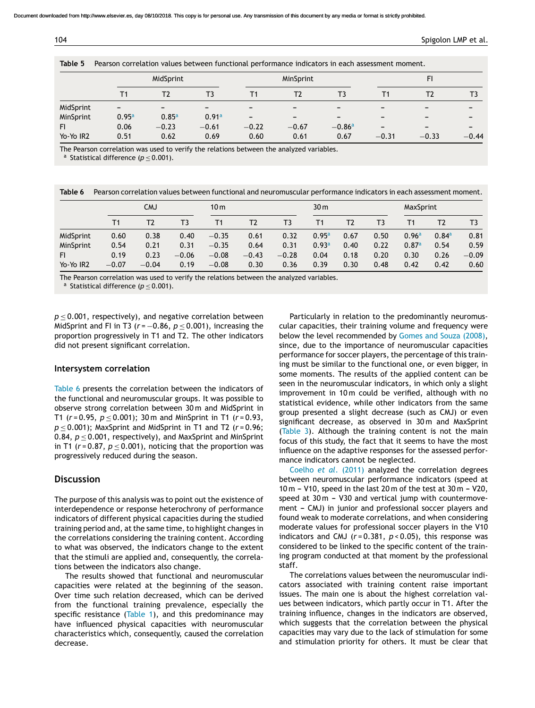<span id="page-6-0"></span>104 Spigolon LMP et al.

|           |                   | MidSprint |         |         | MinSprint                |          |                          |                          |         |  |
|-----------|-------------------|-----------|---------|---------|--------------------------|----------|--------------------------|--------------------------|---------|--|
|           | T <sub>1</sub>    | T2        | T3      | Τ1      |                          | T3       | Τ1                       | Т2                       | T3      |  |
| MidSprint |                   |           |         |         | $\overline{\phantom{a}}$ |          |                          | $\overline{\phantom{a}}$ |         |  |
| MinSprint | 0.95 <sup>a</sup> | 0.85a     | 0.91a   |         | $\overline{\phantom{a}}$ |          |                          |                          |         |  |
| FI        | 0.06              | $-0.23$   | $-0.61$ | $-0.22$ | $-0.67$                  | $-0.86a$ | $\overline{\phantom{0}}$ | $\overline{\phantom{a}}$ |         |  |
| Yo-Yo IR2 | 0.51              | 0.62      | 0.69    | 0.60    | 0.61                     | 0.67     | $-0.31$                  | $-0.33$                  | $-0.44$ |  |

**Table 5** Pearson correlation values between functional performance indicators in each assessment moment.

The Pearson correlation was used to verify the relations between the analyzed variables.

<sup>a</sup> Statistical difference ( $p \le 0.001$ ).

| Table 6 Pearson correlation values between functional and neuromuscular performance indicators in each assessment moment. |  |  |
|---------------------------------------------------------------------------------------------------------------------------|--|--|
|                                                                                                                           |  |  |

|           |         | <b>CMJ</b> |         |         | 10 <sub>m</sub> |         |                   | 30 <sub>m</sub> |      |                   | MaxSprint |         |  |
|-----------|---------|------------|---------|---------|-----------------|---------|-------------------|-----------------|------|-------------------|-----------|---------|--|
|           | T1      | T2         | T3      | Τ1      | T2              | T3      | Τ1                | Т2              | T3   | Τ1                | Т2        | T3      |  |
| MidSprint | 0.60    | 0.38       | 0.40    | $-0.35$ | 0.61            | 0.32    | 0.95 <sup>a</sup> | 0.67            | 0.50 | 0.96 <sup>a</sup> | 0.84a     | 0.81    |  |
| MinSprint | 0.54    | 0.21       | 0.31    | $-0.35$ | 0.64            | 0.31    | 0.93 <sup>a</sup> | 0.40            | 0.22 | 0.87a             | 0.54      | 0.59    |  |
| FI.       | 0.19    | 0.23       | $-0.06$ | $-0.08$ | $-0.43$         | $-0.28$ | 0.04              | 0.18            | 0.20 | 0.30              | 0.26      | $-0.09$ |  |
| Yo-Yo IR2 | $-0.07$ | $-0.04$    | 0.19    | $-0.08$ | 0.30            | 0.36    | 0.39              | 0.30            | 0.48 | 0.42              | 0.42      | 0.60    |  |

The Pearson correlation was used to verify the relations between the analyzed variables.

<sup>a</sup> Statistical difference ( $p \le 0.001$ ).

 $p \leq 0.001$ , respectively), and negative correlation between MidSprint and FI in T3 (*r* = −0.86, *p* ≤ 0.001), increasing the proportion progressively in T1 and T2. The other indicators did not present significant correlation.

#### **Intersystem correlation**

Table 6 presents the correlation between the indicators of the functional and neuromuscular groups. It was possible to observe strong correlation between 30 m and MidSprint in T1 ( $r = 0.95$ ,  $p \le 0.001$ ); 30 m and MinSprint in T1 ( $r = 0.93$ , *p* ≤ 0.001); MaxSprint and MidSprint in T1 and T2 (*r* = 0.96; 0.84, *p* ≤ 0.001, respectively), and MaxSprint and MinSprint in T1 ( $r = 0.87$ ,  $p < 0.001$ ), noticing that the proportion was progressively reduced during the season.

# **Discussion**

The purpose of this analysis was to point out the existence of interdependence or response heterochrony of performance indicators of different physical capacities during the studied training period and, at the same time, to highlight changes in the correlations considering the training content. According to what was observed, the indicators change to the extent that the stimuli are applied and, consequently, the correlations between the indicators also change.

The results showed that functional and neuromuscular capacities were related at the beginning of the season. Over time such relation decreased, which can be derived from the functional training prevalence, especially the specific resistance [\(Table](#page-3-0) 1), and this predominance may have influenced physical capacities with neuromuscular characteristics which, consequently, caused the correlation decrease.

Particularly in relation to the predominantly neuromuscular capacities, their training volume and frequency were below the level recommended by [Gomes](#page-8-0) [and](#page-8-0) [Souza](#page-8-0) [\(2008\),](#page-8-0) since, due to the importance of neuromuscular capacities performance for soccer players, the percentage of this training must be similar to the functional one, or even bigger, in some moments. The results of the applied content can be seen in the neuromuscular indicators, in which only a slight improvement in 10 m could be verified, although with no statistical evidence, while other indicators from the same group presented a slight decrease (such as CMJ) or even significant decrease, as observed in 30 m and MaxSprint [\(Table](#page-5-0) 3). Although the training content is not the main focus of this study, the fact that it seems to have the most influence on the adaptive responses for the assessed performance indicators cannot be neglected.

[Coelho](#page-8-0) *[et](#page-8-0) al*. [\(2011\)](#page-8-0) analyzed the correlation degrees between neuromuscular performance indicators (speed at  $10$  m - V10, speed in the last 20 m of the test at 30 m - V20, speed at  $30 \, \text{m}$  – V30 and vertical jump with countermovement - CMJ) in junior and professional soccer players and found weak to moderate correlations, and when considering moderate values for professional soccer players in the V10 indicators and CMJ (*r* = 0.381, *p* < 0.05), this response was considered to be linked to the specific content of the training program conducted at that moment by the professional staff.

The correlations values between the neuromuscular indicators associated with training content raise important issues. The main one is about the highest correlation values between indicators, which partly occur in T1. After the training influence, changes in the indicators are observed, which suggests that the correlation between the physical capacities may vary due to the lack of stimulation for some and stimulation priority for others. It must be clear that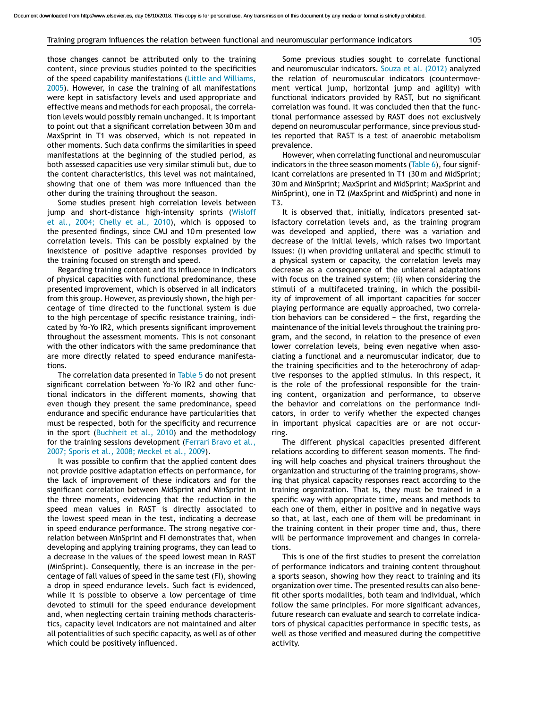#### Training program influences the relation between functional and neuromuscular performance indicators 105

those changes cannot be attributed only to the training content, since previous studies pointed to the specificities of the speed capability manifestations ([Little](#page-8-0) [and](#page-8-0) [Williams,](#page-8-0) [2005\).](#page-8-0) However, in case the training of all manifestations were kept in satisfactory levels and used appropriate and effective means and methods for each proposal, the correlation levels would possibly remain unchanged. It is important to point out that a significant correlation between 30 m and MaxSprint in T1 was observed, which is not repeated in other moments. Such data confirms the similarities in speed manifestations at the beginning of the studied period, as both assessed capacities use very similar stimuli but, due to the content characteristics, this level was not maintained, showing that one of them was more influenced than the other during the training throughout the season.

Some studies present high correlation levels between jump and short-distance high-intensity sprints ([Wisloff](#page-8-0) et [al.,](#page-8-0) [2004;](#page-8-0) [Chelly](#page-8-0) et [al.,](#page-8-0) [2010\),](#page-8-0) which is opposed to the presented findings, since CMJ and 10 m presented low correlation levels. This can be possibly explained by the inexistence of positive adaptive responses provided by the training focused on strength and speed.

Regarding training content and its influence in indicators of physical capacities with functional predominance, these presented improvement, which is observed in all indicators from this group. However, as previously shown, the high percentage of time directed to the functional system is due to the high percentage of specific resistance training, indicated by Yo-Yo IR2, which presents significant improvement throughout the assessment moments. This is not consonant with the other indicators with the same predominance that are more directly related to speed endurance manifestations.

The correlation data presented in [Table](#page-6-0) 5 do not present significant correlation between Yo-Yo IR2 and other functional indicators in the different moments, showing that even though they present the same predominance, speed endurance and specific endurance have particularities that must be respected, both for the specificity and recurrence in the sport ([Buchheit](#page-8-0) et [al.,](#page-8-0) [2010\)](#page-8-0) and the methodology for the training sessions development ([Ferrari](#page-8-0) [Bravo](#page-8-0) et [al.,](#page-8-0) [2007;](#page-8-0) [Sporis](#page-8-0) et [al.,](#page-8-0) [2008;](#page-8-0) [Meckel](#page-8-0) et [al.,](#page-8-0) [2009\).](#page-8-0)

It was possible to confirm that the applied content does not provide positive adaptation effects on performance, for the lack of improvement of these indicators and for the significant correlation between MidSprint and MinSprint in the three moments, evidencing that the reduction in the speed mean values in RAST is directly associated to the lowest speed mean in the test, indicating a decrease in speed endurance performance. The strong negative correlation between MinSprint and FI demonstrates that, when developing and applying training programs, they can lead to a decrease in the values of the speed lowest mean in RAST (MinSprint). Consequently, there is an increase in the percentage of fall values of speed in the same test (FI), showing a drop in speed endurance levels. Such fact is evidenced, while it is possible to observe a low percentage of time devoted to stimuli for the speed endurance development and, when neglecting certain training methods characteristics, capacity level indicators are not maintained and alter all potentialities of such specific capacity, as well as of other which could be positively influenced.

Some previous studies sought to correlate functional and neuromuscular indicators. [Souza](#page-8-0) et [al.](#page-8-0) [\(2012\)](#page-8-0) analyzed the relation of neuromuscular indicators (countermovement vertical jump, horizontal jump and agility) with functional indicators provided by RAST, but no significant correlation was found. It was concluded then that the functional performance assessed by RAST does not exclusively depend on neuromuscular performance, since previous studies reported that RAST is a test of anaerobic metabolism prevalence.

However, when correlating functional and neuromuscular indicators in the three season moments [\(Table](#page-6-0) 6), four significant correlations are presented in T1 (30 m and MidSprint; 30 m and MinSprint; MaxSprint and MidSprint; MaxSprint and MinSprint), one in T2 (MaxSprint and MidSprint) and none in T3.

It is observed that, initially, indicators presented satisfactory correlation levels and, as the training program was developed and applied, there was a variation and decrease of the initial levels, which raises two important issues: (i) when providing unilateral and specific stimuli to a physical system or capacity, the correlation levels may decrease as a consequence of the unilateral adaptations with focus on the trained system; (ii) when considering the stimuli of a multifaceted training, in which the possibility of improvement of all important capacities for soccer playing performance are equally approached, two correlation behaviors can be considered  $-$  the first, regarding the maintenance of the initial levels throughout the training program, and the second, in relation to the presence of even lower correlation levels, being even negative when associating a functional and a neuromuscular indicator, due to the training specificities and to the heterochrony of adaptive responses to the applied stimulus. In this respect, it is the role of the professional responsible for the training content, organization and performance, to observe the behavior and correlations on the performance indicators, in order to verify whether the expected changes in important physical capacities are or are not occurring.

The different physical capacities presented different relations according to different season moments. The finding will help coaches and physical trainers throughout the organization and structuring of the training programs, showing that physical capacity responses react according to the training organization. That is, they must be trained in a specific way with appropriate time, means and methods to each one of them, either in positive and in negative ways so that, at last, each one of them will be predominant in the training content in their proper time and, thus, there will be performance improvement and changes in correlations.

This is one of the first studies to present the correlation of performance indicators and training content throughout a sports season, showing how they react to training and its organization over time. The presented results can also benefit other sports modalities, both team and individual, which follow the same principles. For more significant advances, future research can evaluate and search to correlate indicators of physical capacities performance in specific tests, as well as those verified and measured during the competitive activity.